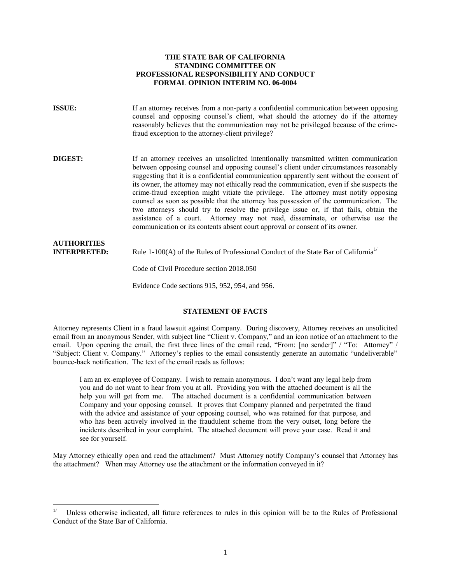#### **THE STATE BAR OF CALIFORNIA STANDING COMMITTEE ON PROFESSIONAL RESPONSIBILITY AND CONDUCT FORMAL OPINION INTERIM NO. 06-0004**

| <b>ISSUE:</b>                             | If an attorney receives from a non-party a confidential communication between opposing<br>counsel and opposing counsel's client, what should the attorney do if the attorney<br>reasonably believes that the communication may not be privileged because of the crime-<br>fraud exception to the attorney-client privilege?                                                                                                                                                                                                                                                                                                                                                                                                                                                                                              |
|-------------------------------------------|--------------------------------------------------------------------------------------------------------------------------------------------------------------------------------------------------------------------------------------------------------------------------------------------------------------------------------------------------------------------------------------------------------------------------------------------------------------------------------------------------------------------------------------------------------------------------------------------------------------------------------------------------------------------------------------------------------------------------------------------------------------------------------------------------------------------------|
| <b>DIGEST:</b>                            | If an attorney receives an unsolicited intentionally transmitted written communication<br>between opposing counsel and opposing counsel's client under circumstances reasonably<br>suggesting that it is a confidential communication apparently sent without the consent of<br>its owner, the attorney may not ethically read the communication, even if she suspects the<br>crime-fraud exception might vitiate the privilege. The attorney must notify opposing<br>counsel as soon as possible that the attorney has possession of the communication. The<br>two attorneys should try to resolve the privilege issue or, if that fails, obtain the<br>assistance of a court. Attorney may not read, disseminate, or otherwise use the<br>communication or its contents absent court approval or consent of its owner. |
| <b>AUTHORITIES</b><br><b>INTERPRETED:</b> | Rule 1-100(A) of the Rules of Professional Conduct of the State Bar of California <sup>1/</sup>                                                                                                                                                                                                                                                                                                                                                                                                                                                                                                                                                                                                                                                                                                                          |
|                                           | Code of Civil Procedure section 2018.050                                                                                                                                                                                                                                                                                                                                                                                                                                                                                                                                                                                                                                                                                                                                                                                 |

## **STATEMENT OF FACTS**

Evidence Code sections 915, 952, 954, and 956.

Attorney represents Client in a fraud lawsuit against Company. During discovery, Attorney receives an unsolicited email from an anonymous Sender, with subject line "Client v. Company," and an icon notice of an attachment to the email. Upon opening the email, the first three lines of the email read, "From: [no sender]" / "To: Attorney" / "Subject: Client v. Company." Attorney's replies to the email consistently generate an automatic "undeliverable" bounce-back notification. The text of the email reads as follows:

I am an ex-employee of Company. I wish to remain anonymous. I don't want any legal help from you and do not want to hear from you at all. Providing you with the attached document is all the help you will get from me. The attached document is a confidential communication between Company and your opposing counsel. It proves that Company planned and perpetrated the fraud with the advice and assistance of your opposing counsel, who was retained for that purpose, and who has been actively involved in the fraudulent scheme from the very outset, long before the incidents described in your complaint. The attached document will prove your case. Read it and see for yourself.

May Attorney ethically open and read the attachment? Must Attorney notify Company's counsel that Attorney has the attachment? When may Attorney use the attachment or the information conveyed in it?

 $\overline{a}$ 

<span id="page-0-0"></span><sup>1/</sup> Unless otherwise indicated, all future references to rules in this opinion will be to the Rules of Professional Conduct of the State Bar of California.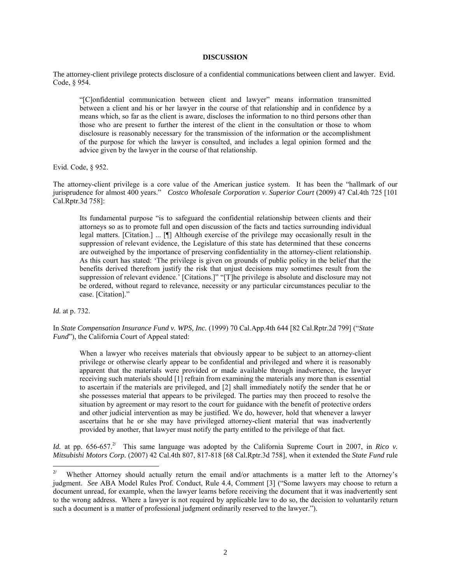#### **DISCUSSION**

The attorney-client privilege protects disclosure of a confidential communications between client and lawyer. Evid. Code, § 954.

"[C]onfidential communication between client and lawyer" means information transmitted between a client and his or her lawyer in the course of that relationship and in confidence by a means which, so far as the client is aware, discloses the information to no third persons other than those who are present to further the interest of the client in the consultation or those to whom disclosure is reasonably necessary for the transmission of the information or the accomplishment of the purpose for which the lawyer is consulted, and includes a legal opinion formed and the advice given by the lawyer in the course of that relationship.

Evid. Code, § 952.

The attorney-client privilege is a core value of the American justice system. It has been the "hallmark of our jurisprudence for almost 400 years." *Costco Wholesale Corporation v. Superior Court* (2009) 47 Cal.4th 725 [101 Cal.Rptr.3d 758]:

Its fundamental purpose "is to safeguard the confidential relationship between clients and their attorneys so as to promote full and open discussion of the facts and tactics surrounding individual legal matters. [Citation.] ... [¶] Although exercise of the privilege may occasionally result in the suppression of relevant evidence, the Legislature of this state has determined that these concerns are outweighed by the importance of preserving confidentiality in the attorney-client relationship. As this court has stated: 'The privilege is given on grounds of public policy in the belief that the benefits derived therefrom justify the risk that unjust decisions may sometimes result from the suppression of relevant evidence.' [Citations.]" "[T]he privilege is absolute and disclosure may not be ordered, without regard to relevance, necessity or any particular circumstances peculiar to the case. [Citation]."

*Id.* at p. 732.

In *State Compensation Insurance Fund v. WPS, Inc.* (1999) 70 Cal.App.4th 644 [82 Cal.Rptr.2d 799] ("*State Fund*"), the California Court of Appeal stated:

When a lawyer who receives materials that obviously appear to be subject to an attorney-client privilege or otherwise clearly appear to be confidential and privileged and where it is reasonably apparent that the materials were provided or made available through inadvertence, the lawyer receiving such materials should [1] refrain from examining the materials any more than is essential to ascertain if the materials are privileged, and [2] shall immediately notify the sender that he or she possesses material that appears to be privileged. The parties may then proceed to resolve the situation by agreement or may resort to the court for guidance with the benefit of protective orders and other judicial intervention as may be justified. We do, however, hold that whenever a lawyer ascertains that he or she may have privileged attorney-client material that was inadvertently provided by another, that lawyer must notify the party entitled to the privilege of that fact.

Id. at pp. 656-657.<sup>[2/](#page-1-0)</sup> This same language was adopted by the California Supreme Court in 2007, in *Rico v*. *Mitsubishi Motors Corp.* (2007) 42 Cal.4th 807, 817-818 [68 Cal.Rptr.3d 758], when it extended the *State Fund* rule

<span id="page-1-0"></span> $2/$ 2/ Whether Attorney should actually return the email and/or attachments is a matter left to the Attorney's judgment. *See* ABA Model Rules Prof. Conduct, Rule 4.4, Comment [3] ("Some lawyers may choose to return a document unread, for example, when the lawyer learns before receiving the document that it was inadvertently sent to the wrong address. Where a lawyer is not required by applicable law to do so, the decision to voluntarily return such a document is a matter of professional judgment ordinarily reserved to the lawyer.").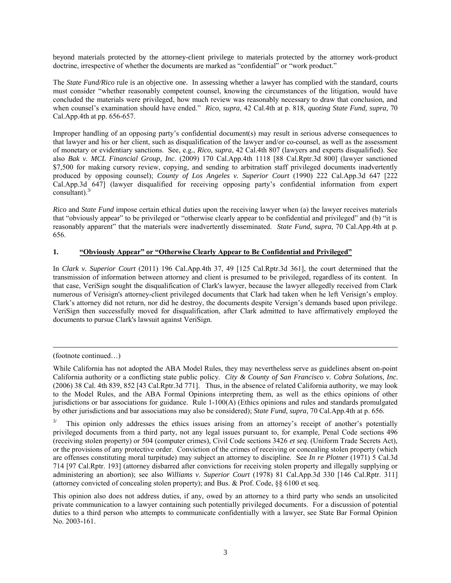beyond materials protected by the attorney-client privilege to materials protected by the attorney work-product doctrine, irrespective of whether the documents are marked as "confidential" or "work product."

The *State Fund/Rico* rule is an objective one. In assessing whether a lawyer has complied with the standard, courts must consider "whether reasonably competent counsel, knowing the circumstances of the litigation, would have concluded the materials were privileged, how much review was reasonably necessary to draw that conclusion, and when counsel's examination should have ended." *Rico, supra*, 42 Cal.4th at p. 818, *quoting State Fund, supra,* 70 Cal.App.4th at pp. 656-657.

Improper handling of an opposing party's confidential document(s) may result in serious adverse consequences to that lawyer and his or her client, such as disqualification of the lawyer and/or co-counsel, as well as the assessment of monetary or evidentiary sanctions. See, e.g., *Rico, supra*, 42 Cal.4th 807 (lawyers and experts disqualified). See also *Bak v. MCL Financial Group, Inc*. (2009) 170 Cal.App.4th 1118 [88 Cal.Rptr.3d 800] (lawyer sanctioned \$7,500 for making cursory review, copying, and sending to arbitration staff privileged documents inadvertently produced by opposing counsel); *County of Los Angeles v. Superior Court* (1990) 222 Cal.App.3d 647 [222 Cal.App.3d 647] (lawyer disqualified for receiving opposing party's confidential information from expert consultant). [3/](#page-2-0)

*Rico* and *State Fund* impose certain ethical duties upon the receiving lawyer when (a) the lawyer receives materials that "obviously appear" to be privileged or "otherwise clearly appear to be confidential and privileged" and (b) "it is reasonably apparent" that the materials were inadvertently disseminated. *State Fund, supra*, 70 Cal.App.4th at p. 656.

## **1. "Obviously Appear" or "Otherwise Clearly Appear to Be Confidential and Privileged"**

In *Clark v. Superior Court* (2011) 196 Cal.App.4th 37, 49 [125 Cal.Rptr.3d 361], the court determined that the transmission of information between attorney and client is presumed to be privileged, regardless of its content. In that case, VeriSign sought the disqualification of Clark's lawyer, because the lawyer allegedly received from Clark numerous of Verisign's attorney-client privileged documents that Clark had taken when he left Verisign's employ. Clark's attorney did not return, nor did he destroy, the documents despite Versign's demands based upon privilege. VeriSign then successfully moved for disqualification, after Clark admitted to have affirmatively employed the documents to pursue Clark's lawsuit against VeriSign.

 $\overline{a}$ 

<sup>(</sup>footnote continued…)

While California has not adopted the ABA Model Rules, they may nevertheless serve as guidelines absent on-point California authority or a conflicting state public policy. *City & County of San Francisco v. Cobra Solutions, Inc.* (2006) 38 Cal. 4th 839, 852 [43 Cal.Rptr.3d 771]. Thus, in the absence of related California authority, we may look to the Model Rules, and the ABA Formal Opinions interpreting them, as well as the ethics opinions of other jurisdictions or bar associations for guidance. Rule 1-100(A) (Ethics opinions and rules and standards promulgated by other jurisdictions and bar associations may also be considered); *State Fund, supra,* 70 Cal.App.4th at p. 656.

<span id="page-2-0"></span> $3/$  This opinion only addresses the ethics issues arising from an attorney's receipt of another's potentially privileged documents from a third party, not any legal issues pursuant to, for example, Penal Code sections 496 (receiving stolen property) or 504 (computer crimes), Civil Code sections 3426 *et seq*. (Uniform Trade Secrets Act), or the provisions of any protective order. Conviction of the crimes of receiving or concealing stolen property (which are offenses constituting moral turpitude) may subject an attorney to discipline. See *In re Plotner* (1971) 5 Cal.3d 714 [97 Cal.Rptr. 193] (attorney disbarred after convictions for receiving stolen property and illegally supplying or administering an abortion); see also *Williams v. Superior Court* (1978) 81 Cal.App.3d 330 [146 Cal.Rptr. 311] (attorney convicted of concealing stolen property); and Bus. & Prof. Code, §§ 6100 et seq.

This opinion also does not address duties, if any, owed by an attorney to a third party who sends an unsolicited private communication to a lawyer containing such potentially privileged documents. For a discussion of potential duties to a third person who attempts to communicate confidentially with a lawyer, see State Bar Formal Opinion No. 2003-161.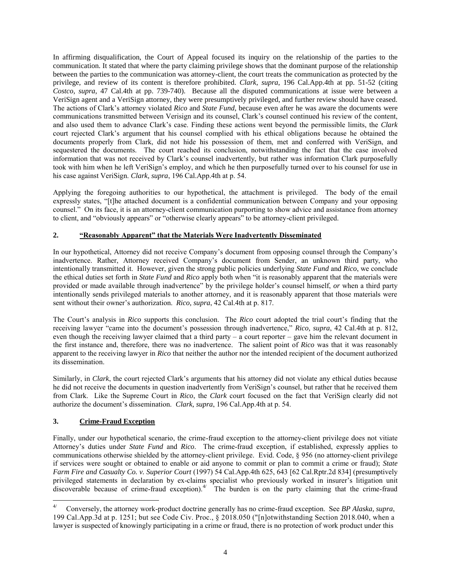In affirming disqualification, the Court of Appeal focused its inquiry on the relationship of the parties to the communication. It stated that where the party claiming privilege shows that the dominant purpose of the relationship between the parties to the communication was attorney-client, the court treats the communication as protected by the privilege, and review of its content is therefore prohibited. *Clark, supra*, 196 Cal.App.4th at pp. 51-52 (citing *Costco*, *supra*, 47 Cal.4th at pp. 739-740). Because all the disputed communications at issue were between a VeriSign agent and a VeriSign attorney, they were presumptively privileged, and further review should have ceased. The actions of Clark's attorney violated *Rico* and *State Fund*, because even after he was aware the documents were communications transmitted between Verisign and its counsel, Clark's counsel continued his review of the content, and also used them to advance Clark's case. Finding these actions went beyond the permissible limits, the *Clark* court rejected Clark's argument that his counsel complied with his ethical obligations because he obtained the documents properly from Clark, did not hide his possession of them, met and conferred with VeriSign, and sequestered the documents. The court reached its conclusion, notwithstanding the fact that the case involved information that was not received by Clark's counsel inadvertently, but rather was information Clark purposefully took with him when he left VeriSign's employ, and which he then purposefully turned over to his counsel for use in his case against VeriSign. *Clark, supra*, 196 Cal.App.4th at p. 54.

Applying the foregoing authorities to our hypothetical, the attachment is privileged. The body of the email expressly states, "[t]he attached document is a confidential communication between Company and your opposing counsel." On its face, it is an attorney-client communication purporting to show advice and assistance from attorney to client, and "obviously appears" or "otherwise clearly appears" to be attorney-client privileged.

# **2. "Reasonably Apparent" that the Materials Were Inadvertently Disseminated**

In our hypothetical, Attorney did not receive Company's document from opposing counsel through the Company's inadvertence. Rather, Attorney received Company's document from Sender, an unknown third party, who intentionally transmitted it. However, given the strong public policies underlying *State Fund* and *Rico*, we conclude the ethical duties set forth in *State Fund* and *Rico* apply both when "it is reasonably apparent that the materials were provided or made available through inadvertence" by the privilege holder's counsel himself, *or* when a third party intentionally sends privileged materials to another attorney, and it is reasonably apparent that those materials were sent without their owner's authorization. *Rico, supra*, 42 Cal.4th at p. 817.

The Court's analysis in *Rico* supports this conclusion. The *Rico* court adopted the trial court's finding that the receiving lawyer "came into the document's possession through inadvertence," *Rico, supra*, 42 Cal.4th at p. 812, even though the receiving lawyer claimed that a third party – a court reporter – gave him the relevant document in the first instance and, therefore, there was no inadvertence. The salient point of *Rico* was that it was reasonably apparent to the receiving lawyer in *Rico* that neither the author nor the intended recipient of the document authorized its dissemination.

Similarly, in *Clark*, the court rejected Clark's arguments that his attorney did not violate any ethical duties because he did not receive the documents in question inadvertently from VeriSign's counsel, but rather that he received them from Clark. Like the Supreme Court in *Rico*, the *Clark* court focused on the fact that VeriSign clearly did not authorize the document's dissemination. *Clark, supra*, 196 Cal.App.4th at p. 54.

## **3. Crime-Fraud Exception**

Finally, under our hypothetical scenario, the crime-fraud exception to the attorney-client privilege does not vitiate Attorney's duties under *State Fund* and *Rico*. The crime-fraud exception, if established, expressly applies to communications otherwise shielded by the attorney-client privilege. Evid. Code, § 956 (no attorney-client privilege if services were sought or obtained to enable or aid anyone to commit or plan to commit a crime or fraud); *State Farm Fire and Casualty Co. v. Superior Court* (1997) 54 Cal.App.4th 625, 643 [62 Cal.Rptr.2d 834] (presumptively privileged statements in declaration by ex-claims specialist who previously worked in insurer's litigation unit discoverable because of crime-fraud exception).<sup>4[/](#page-3-0)</sup> The burden is on the party claiming that the crime-fraud

<span id="page-3-0"></span> $\overline{a}$ 4/ Conversely, the attorney work-product doctrine generally has no crime-fraud exception. See *BP Alaska, supra*, 199 Cal.App.3d at p. 1251; but see Code Civ. Proc., § 2018.050 ("[n]otwithstanding Section 2018.040, when a lawyer is suspected of knowingly participating in a crime or fraud, there is no protection of work product under this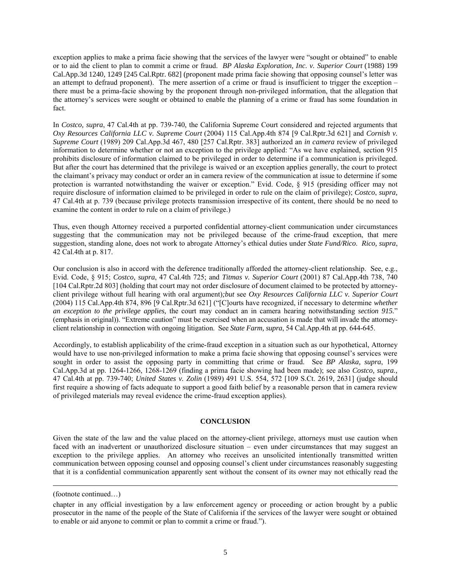exception applies to make a prima facie showing that the services of the lawyer were "sought or obtained" to enable or to aid the client to plan to commit a crime or fraud. *BP Alaska Exploration, Inc. v. Superior Court* (1988) 199 Cal.App.3d 1240, 1249 [245 Cal.Rptr. 682] (proponent made prima facie showing that opposing counsel's letter was an attempt to defraud proponent). The mere assertion of a crime or fraud is insufficient to trigger the exception – there must be a prima-facie showing by the proponent through non-privileged information, that the allegation that the attorney's services were sought or obtained to enable the planning of a crime or fraud has some foundation in fact.

In *Costco, supra*, 47 Cal.4th at pp. 739-740, the California Supreme Court considered and rejected arguments that *Oxy Resources California LLC v. Supreme Court* (2004) 115 Cal.App.4th 874 [9 Cal.Rptr.3d 621] and *Cornish v. Supreme Court* (1989) 209 Cal.App.3d 467, 480 [257 Cal.Rptr. 383] authorized an *in camera* review of privileged information to determine whether or not an exception to the privilege applied: "As we have explained, section 915 prohibits disclosure of information claimed to be privileged in order to determine if a communication is privileged. But after the court has determined that the privilege is waived or an exception applies generally, the court to protect the claimant's privacy may conduct or order an in camera review of the communication at issue to determine if some protection is warranted notwithstanding the waiver or exception." Evid. Code, § 915 (presiding officer may not require disclosure of information claimed to be privileged in order to rule on the claim of privilege); *Costco*, *supra,* 47 Cal.4th at p. 739 (because privilege protects transmission irrespective of its content, there should be no need to examine the content in order to rule on a claim of privilege.)

Thus, even though Attorney received a purported confidential attorney-client communication under circumstances suggesting that the communication may not be privileged because of the crime-fraud exception, that mere suggestion, standing alone, does not work to abrogate Attorney's ethical duties under *State Fund/Rico*. *Rico, supra*, 42 Cal.4th at p. 817.

Our conclusion is also in accord with the deference traditionally afforded the attorney-client relationship. See, e.g., Evid. Code, § 915; *Costco, supra*, 47 Cal.4th 725; and *Titmas v. Superior Court* (2001) 87 Cal.App.4th 738, 740 [104 Cal.Rptr.2d 803] (holding that court may not order disclosure of document claimed to be protected by attorneyclient privilege without full hearing with oral argument)*;but* see *Oxy Resources California LLC v. Superior Court* (2004) 115 Cal.App.4th 874, 896 [9 Cal.Rptr.3d 621] ("[C]ourts have recognized, if necessary to determine *whether an exception to the privilege applies,* the court may conduct an in camera hearing notwithstanding *section 915.*" (emphasis in original)). "Extreme caution" must be exercised when an accusation is made that will invade the attorneyclient relationship in connection with ongoing litigation. See *State Farm, supra*, 54 Cal.App.4th at pp. 644-645.

Accordingly, to establish applicability of the crime-fraud exception in a situation such as our hypothetical, Attorney would have to use non-privileged information to make a prima facie showing that opposing counsel's services were sought in order to assist the opposing party in committing that crime or fraud. See *BP Alaska, supra*, 199 Cal.App.3d at pp. 1264-1266, 1268-1269 (finding a prima facie showing had been made); see also *Costco, supra.,*  47 Cal.4th at pp. 739-740; *United States v. Zolin* (1989) 491 U.S. 554, 572 [109 S.Ct. 2619, 2631] (judge should first require a showing of facts adequate to support a good faith belief by a reasonable person that in camera review of privileged materials may reveal evidence the crime-fraud exception applies).

## **CONCLUSION**

Given the state of the law and the value placed on the attorney-client privilege, attorneys must use caution when faced with an inadvertent or unauthorized disclosure situation – even under circumstances that may suggest an exception to the privilege applies. An attorney who receives an unsolicited intentionally transmitted written communication between opposing counsel and opposing counsel's client under circumstances reasonably suggesting that it is a confidential communication apparently sent without the consent of its owner may not ethically read the

 $\overline{a}$ 

<sup>(</sup>footnote continued…)

chapter in any official investigation by a law enforcement agency or proceeding or action brought by a public prosecutor in the name of the people of the State of California if the services of the lawyer were sought or obtained to enable or aid anyone to commit or plan to commit a crime or fraud.").